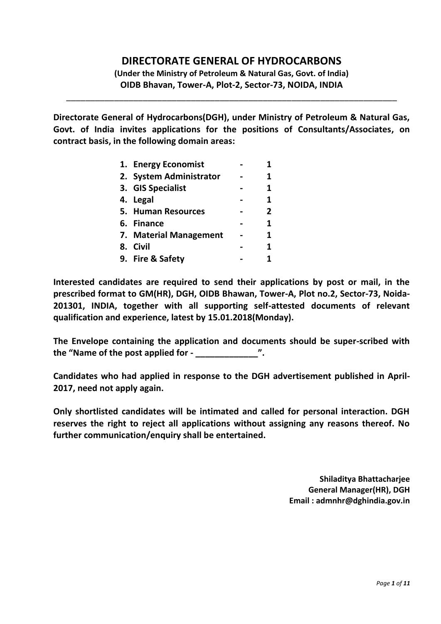# **DIRECTORATE GENERAL OF HYDROCARBONS**

**(Under the Ministry of Petroleum & Natural Gas, Govt. of India) OIDB Bhavan, Tower-A, Plot-2, Sector-73, NOIDA, INDIA**

\_\_\_\_\_\_\_\_\_\_\_\_\_\_\_\_\_\_\_\_\_\_\_\_\_\_\_\_\_\_\_\_\_\_\_\_\_\_\_\_\_\_\_\_\_\_\_\_\_\_\_\_\_\_\_\_\_\_\_\_\_\_\_\_\_\_\_\_\_

**Directorate General of Hydrocarbons(DGH), under Ministry of Petroleum & Natural Gas, Govt. of India invites applications for the positions of Consultants/Associates, on contract basis, in the following domain areas:**

| 1. Energy Economist     |              |
|-------------------------|--------------|
| 2. System Administrator | 1            |
| 3. GIS Specialist       | 1            |
| 4. Legal                | 1            |
| 5. Human Resources      | $\mathbf{2}$ |
| 6. Finance              | 1            |
| 7. Material Management  | 1            |
| 8. Civil                | 1            |
| 9. Fire & Safety        |              |

**Interested candidates are required to send their applications by post or mail, in the prescribed format to GM(HR), DGH, OIDB Bhawan, Tower-A, Plot no.2, Sector-73, Noida-201301, INDIA, together with all supporting self-attested documents of relevant qualification and experience, latest by 15.01.2018(Monday).**

**The Envelope containing the application and documents should be super-scribed with the "Name of the post applied for - \_\_\_\_\_\_\_\_\_\_\_\_\_".**

**Candidates who had applied in response to the DGH advertisement published in April-2017, need not apply again.**

**Only shortlisted candidates will be intimated and called for personal interaction. DGH reserves the right to reject all applications without assigning any reasons thereof. No further communication/enquiry shall be entertained.**

> **Shiladitya Bhattacharjee General Manager(HR), DGH Email : admnhr@dghindia.gov.in**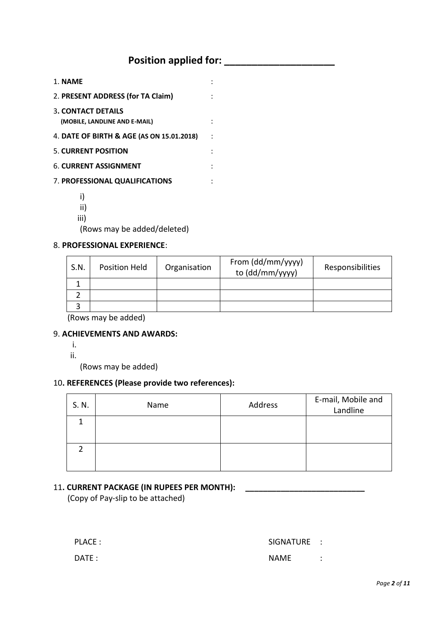# **Position applied for:** *Position applied for:*

| 1. NAME                                                    |  |
|------------------------------------------------------------|--|
| 2. PRESENT ADDRESS (for TA Claim)                          |  |
| <b>3. CONTACT DETAILS</b><br>(MOBILE, LANDLINE AND E-MAIL) |  |
| 4. DATE OF BIRTH & AGE (AS ON 15.01.2018)                  |  |
| <b>5. CURRENT POSITION</b>                                 |  |
| <b>6. CURRENT ASSIGNMENT</b>                               |  |
| 7. PROFESSIONAL QUALIFICATIONS                             |  |
|                                                            |  |

- 
- ii)
- iii)

(Rows may be added/deleted)

#### 8. **PROFESSIONAL EXPERIENCE**:

| S.N. | Position Held | Organisation | From (dd/mm/yyyy)<br>to (dd/mm/yyyy) | Responsibilities |
|------|---------------|--------------|--------------------------------------|------------------|
|      |               |              |                                      |                  |
|      |               |              |                                      |                  |
|      |               |              |                                      |                  |
|      |               |              |                                      |                  |

(Rows may be added)

#### 9. **ACHIEVEMENTS AND AWARDS:**

- i.
- ii.

(Rows may be added)

### 10**. REFERENCES (Please provide two references):**

| S. N. | Name | Address | E-mail, Mobile and<br>Landline |
|-------|------|---------|--------------------------------|
|       |      |         |                                |
|       |      |         |                                |

#### 11**. CURRENT PACKAGE (IN RUPEES PER MONTH): \_\_\_\_\_\_\_\_\_\_\_\_\_\_\_\_\_\_\_\_\_\_\_\_\_\_\_**

(Copy of Pay-slip to be attached)

PLACE : SIGNATURE : DATE : NAME : NAME : NAME : NAME : NAME : NAME : NAME : NAME : NAME : NAME : NAME : NAME : NAME : NAME : NAME : NAME : NAME : NAME : NAME : NAME : NAME : NAME : NAME : NAME : NAME : NAME : NAME : NAME : NAME : NAME : NAME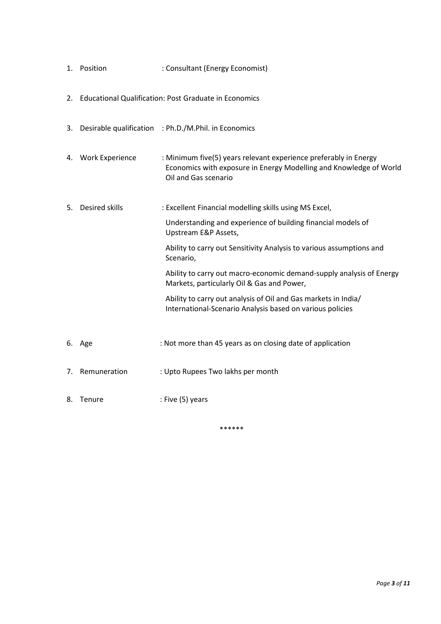|      | 1. Position        | : Consultant (Energy Economist)                                                                                                                                |
|------|--------------------|----------------------------------------------------------------------------------------------------------------------------------------------------------------|
|      |                    | 2. Educational Qualification: Post Graduate in Economics                                                                                                       |
|      |                    | 3. Desirable qualification : Ph.D./M.Phil. in Economics                                                                                                        |
|      | 4. Work Experience | : Minimum five(5) years relevant experience preferably in Energy<br>Economics with exposure in Energy Modelling and Knowledge of World<br>Oil and Gas scenario |
| 5.   | Desired skills     | : Excellent Financial modelling skills using MS Excel,                                                                                                         |
|      |                    | Understanding and experience of building financial models of<br>Upstream E&P Assets,                                                                           |
|      |                    | Ability to carry out Sensitivity Analysis to various assumptions and<br>Scenario,                                                                              |
|      |                    | Ability to carry out macro-economic demand-supply analysis of Energy<br>Markets, particularly Oil & Gas and Power,                                             |
|      |                    | Ability to carry out analysis of Oil and Gas markets in India/<br>International-Scenario Analysis based on various policies                                    |
|      | 6. Age             | : Not more than 45 years as on closing date of application                                                                                                     |
|      | 7. Remuneration    | : Upto Rupees Two lakhs per month                                                                                                                              |
| 8. . | Tenure             | : Five (5) years                                                                                                                                               |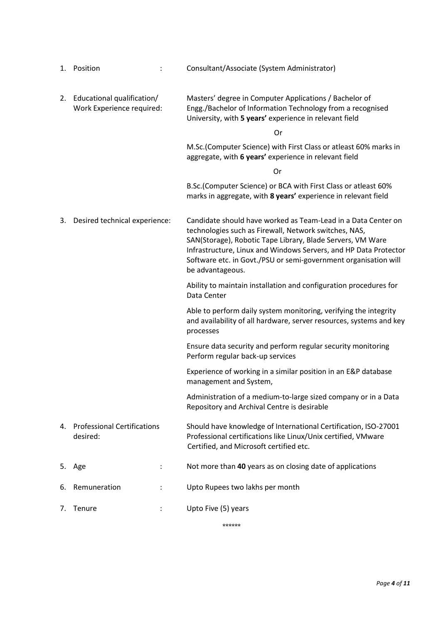|    | 1. Position                                                | Consultant/Associate (System Administrator)                                                                                                                                                                                                                                                                                                     |
|----|------------------------------------------------------------|-------------------------------------------------------------------------------------------------------------------------------------------------------------------------------------------------------------------------------------------------------------------------------------------------------------------------------------------------|
|    | 2. Educational qualification/<br>Work Experience required: | Masters' degree in Computer Applications / Bachelor of<br>Engg./Bachelor of Information Technology from a recognised<br>University, with 5 years' experience in relevant field                                                                                                                                                                  |
|    |                                                            | <b>Or</b>                                                                                                                                                                                                                                                                                                                                       |
|    |                                                            | M.Sc.(Computer Science) with First Class or atleast 60% marks in<br>aggregate, with 6 years' experience in relevant field                                                                                                                                                                                                                       |
|    |                                                            | <b>Or</b>                                                                                                                                                                                                                                                                                                                                       |
|    |                                                            | B.Sc. (Computer Science) or BCA with First Class or atleast 60%<br>marks in aggregate, with 8 years' experience in relevant field                                                                                                                                                                                                               |
| 3. | Desired technical experience:                              | Candidate should have worked as Team-Lead in a Data Center on<br>technologies such as Firewall, Network switches, NAS,<br>SAN(Storage), Robotic Tape Library, Blade Servers, VM Ware<br>Infrastructure, Linux and Windows Servers, and HP Data Protector<br>Software etc. in Govt./PSU or semi-government organisation will<br>be advantageous. |
|    |                                                            | Ability to maintain installation and configuration procedures for<br>Data Center                                                                                                                                                                                                                                                                |
|    |                                                            | Able to perform daily system monitoring, verifying the integrity<br>and availability of all hardware, server resources, systems and key<br>processes                                                                                                                                                                                            |
|    |                                                            | Ensure data security and perform regular security monitoring<br>Perform regular back-up services                                                                                                                                                                                                                                                |
|    |                                                            | Experience of working in a similar position in an E&P database<br>management and System,                                                                                                                                                                                                                                                        |
|    |                                                            | Administration of a medium-to-large sized company or in a Data<br>Repository and Archival Centre is desirable                                                                                                                                                                                                                                   |
| 4. | <b>Professional Certifications</b><br>desired:             | Should have knowledge of International Certification, ISO-27001<br>Professional certifications like Linux/Unix certified, VMware<br>Certified, and Microsoft certified etc.                                                                                                                                                                     |
|    | 5. Age                                                     | Not more than 40 years as on closing date of applications                                                                                                                                                                                                                                                                                       |
| 6. | Remuneration                                               | Upto Rupees two lakhs per month                                                                                                                                                                                                                                                                                                                 |
| 7. | Tenure                                                     | Upto Five (5) years                                                                                                                                                                                                                                                                                                                             |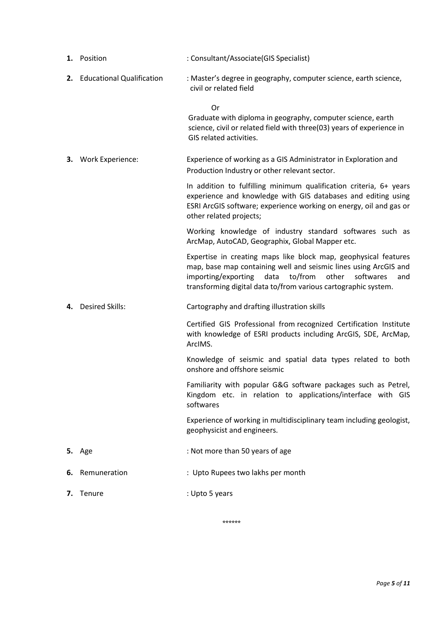|    | 1. Position                  | : Consultant/Associate(GIS Specialist)                                                                                                                                                                                                                                       |
|----|------------------------------|------------------------------------------------------------------------------------------------------------------------------------------------------------------------------------------------------------------------------------------------------------------------------|
|    | 2. Educational Qualification | : Master's degree in geography, computer science, earth science,<br>civil or related field                                                                                                                                                                                   |
|    |                              | <b>Or</b><br>Graduate with diploma in geography, computer science, earth<br>science, civil or related field with three(03) years of experience in<br>GIS related activities.                                                                                                 |
|    | 3. Work Experience:          | Experience of working as a GIS Administrator in Exploration and<br>Production Industry or other relevant sector.                                                                                                                                                             |
|    |                              | In addition to fulfilling minimum qualification criteria, 6+ years<br>experience and knowledge with GIS databases and editing using<br>ESRI ArcGIS software; experience working on energy, oil and gas or<br>other related projects;                                         |
|    |                              | Working knowledge of industry standard softwares such as<br>ArcMap, AutoCAD, Geographix, Global Mapper etc.                                                                                                                                                                  |
|    |                              | Expertise in creating maps like block map, geophysical features<br>map, base map containing well and seismic lines using ArcGIS and<br>to/from<br>importing/exporting<br>data<br>other<br>softwares<br>and<br>transforming digital data to/from various cartographic system. |
| 4. | <b>Desired Skills:</b>       | Cartography and drafting illustration skills                                                                                                                                                                                                                                 |
|    |                              | Certified GIS Professional from recognized Certification Institute<br>with knowledge of ESRI products including ArcGIS, SDE, ArcMap,<br>ArcIMS.                                                                                                                              |
|    |                              | Knowledge of seismic and spatial data types related to both<br>onshore and offshore seismic                                                                                                                                                                                  |
|    |                              | Familiarity with popular G&G software packages such as Petrel,<br>Kingdom etc. in relation to applications/interface with GIS<br>softwares                                                                                                                                   |
|    |                              | Experience of working in multidisciplinary team including geologist,<br>geophysicist and engineers.                                                                                                                                                                          |
|    | <b>5.</b> Age                | : Not more than 50 years of age                                                                                                                                                                                                                                              |
| 6. | Remuneration                 | : Upto Rupees two lakhs per month                                                                                                                                                                                                                                            |
|    | 7. Tenure                    | : Upto 5 years                                                                                                                                                                                                                                                               |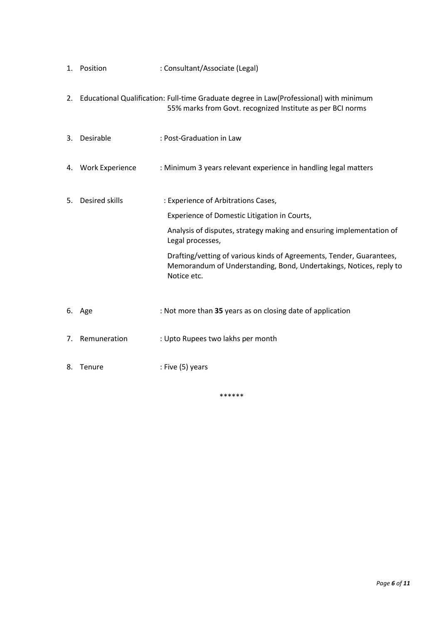|    | 1. Position        | : Consultant/Associate (Legal)                                                                                                                            |
|----|--------------------|-----------------------------------------------------------------------------------------------------------------------------------------------------------|
|    |                    | 2. Educational Qualification: Full-time Graduate degree in Law(Professional) with minimum<br>55% marks from Govt. recognized Institute as per BCI norms   |
| 3. | Desirable          | : Post-Graduation in Law                                                                                                                                  |
|    | 4. Work Experience | : Minimum 3 years relevant experience in handling legal matters                                                                                           |
| 5. | Desired skills     | : Experience of Arbitrations Cases,                                                                                                                       |
|    |                    | Experience of Domestic Litigation in Courts,                                                                                                              |
|    |                    | Analysis of disputes, strategy making and ensuring implementation of<br>Legal processes,                                                                  |
|    |                    | Drafting/vetting of various kinds of Agreements, Tender, Guarantees,<br>Memorandum of Understanding, Bond, Undertakings, Notices, reply to<br>Notice etc. |
|    | 6. Age             | : Not more than 35 years as on closing date of application                                                                                                |
| 7. | Remuneration       | : Upto Rupees two lakhs per month                                                                                                                         |
| 8. | Tenure             | : Five $(5)$ years                                                                                                                                        |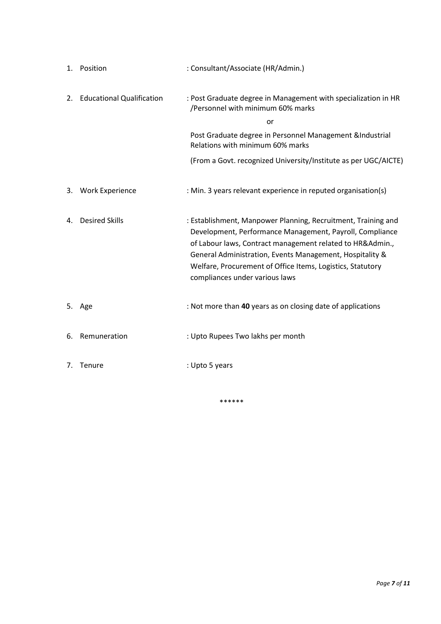|    | 1. Position                      | : Consultant/Associate (HR/Admin.)                                                                                                                                                                                                                                                                                                                 |
|----|----------------------------------|----------------------------------------------------------------------------------------------------------------------------------------------------------------------------------------------------------------------------------------------------------------------------------------------------------------------------------------------------|
| 2. | <b>Educational Qualification</b> | : Post Graduate degree in Management with specialization in HR<br>/Personnel with minimum 60% marks                                                                                                                                                                                                                                                |
|    |                                  | or                                                                                                                                                                                                                                                                                                                                                 |
|    |                                  | Post Graduate degree in Personnel Management &Industrial<br>Relations with minimum 60% marks                                                                                                                                                                                                                                                       |
|    |                                  | (From a Govt. recognized University/Institute as per UGC/AICTE)                                                                                                                                                                                                                                                                                    |
| 3. | <b>Work Experience</b>           | : Min. 3 years relevant experience in reputed organisation(s)                                                                                                                                                                                                                                                                                      |
| 4. | <b>Desired Skills</b>            | : Establishment, Manpower Planning, Recruitment, Training and<br>Development, Performance Management, Payroll, Compliance<br>of Labour laws, Contract management related to HR&Admin.,<br>General Administration, Events Management, Hospitality &<br>Welfare, Procurement of Office Items, Logistics, Statutory<br>compliances under various laws |
|    | 5. Age                           | : Not more than 40 years as on closing date of applications                                                                                                                                                                                                                                                                                        |
| 6. | Remuneration                     | : Upto Rupees Two lakhs per month                                                                                                                                                                                                                                                                                                                  |
| 7. | Tenure                           | : Upto 5 years                                                                                                                                                                                                                                                                                                                                     |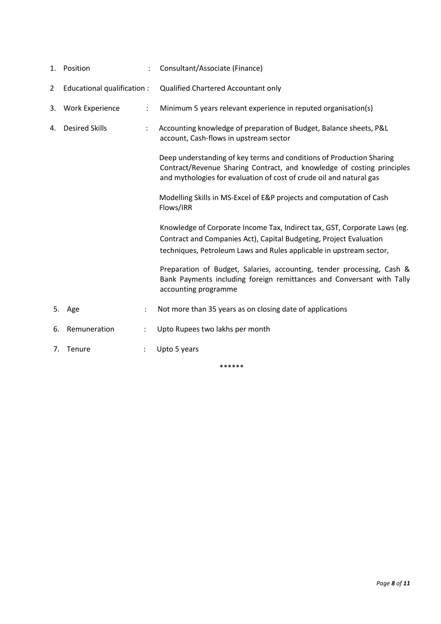|                | 1. Position                 | $\ddot{\phantom{0}}$ | Consultant/Associate (Finance)                                                                                                                                                                                         |
|----------------|-----------------------------|----------------------|------------------------------------------------------------------------------------------------------------------------------------------------------------------------------------------------------------------------|
| $\overline{2}$ | Educational qualification : |                      | Qualified Chartered Accountant only                                                                                                                                                                                    |
| 3.             | <b>Work Experience</b>      | $\ddot{\phantom{a}}$ | Minimum 5 years relevant experience in reputed organisation(s)                                                                                                                                                         |
| 4.             | <b>Desired Skills</b>       |                      | Accounting knowledge of preparation of Budget, Balance sheets, P&L<br>account, Cash-flows in upstream sector                                                                                                           |
|                |                             |                      | Deep understanding of key terms and conditions of Production Sharing<br>Contract/Revenue Sharing Contract, and knowledge of costing principles<br>and mythologies for evaluation of cost of crude oil and natural gas  |
|                |                             |                      | Modelling Skills in MS-Excel of E&P projects and computation of Cash<br>Flows/IRR                                                                                                                                      |
|                |                             |                      | Knowledge of Corporate Income Tax, Indirect tax, GST, Corporate Laws (eg.<br>Contract and Companies Act), Capital Budgeting, Project Evaluation<br>techniques, Petroleum Laws and Rules applicable in upstream sector, |
|                |                             |                      | Preparation of Budget, Salaries, accounting, tender processing, Cash &<br>Bank Payments including foreign remittances and Conversant with Tally<br>accounting programme                                                |
|                | 5. Age                      | $\ddot{\phantom{a}}$ | Not more than 35 years as on closing date of applications                                                                                                                                                              |
| 6.             | Remuneration                |                      | Upto Rupees two lakhs per month                                                                                                                                                                                        |
| 7.             | Tenure                      |                      | Upto 5 years                                                                                                                                                                                                           |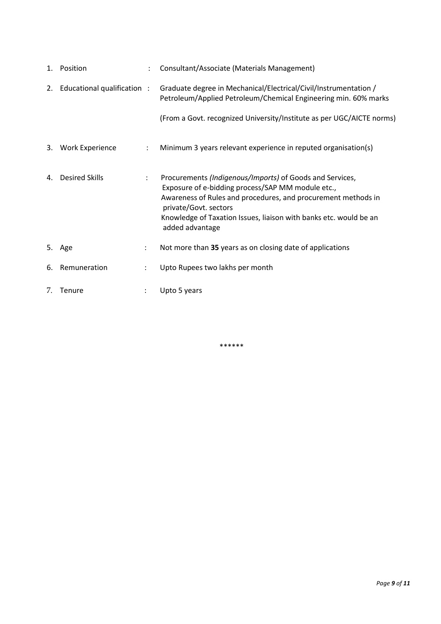|    | 1. Position                    |                      | Consultant/Associate (Materials Management)                                                                                                                                                                                                                                                     |
|----|--------------------------------|----------------------|-------------------------------------------------------------------------------------------------------------------------------------------------------------------------------------------------------------------------------------------------------------------------------------------------|
|    | 2. Educational qualification : |                      | Graduate degree in Mechanical/Electrical/Civil/Instrumentation /<br>Petroleum/Applied Petroleum/Chemical Engineering min. 60% marks                                                                                                                                                             |
|    |                                |                      | (From a Govt. recognized University/Institute as per UGC/AICTE norms)                                                                                                                                                                                                                           |
|    | 3. Work Experience             | ÷                    | Minimum 3 years relevant experience in reputed organisation(s)                                                                                                                                                                                                                                  |
| 4. | <b>Desired Skills</b>          | $\ddot{\phantom{a}}$ | Procurements (Indigenous/Imports) of Goods and Services,<br>Exposure of e-bidding process/SAP MM module etc.,<br>Awareness of Rules and procedures, and procurement methods in<br>private/Govt. sectors<br>Knowledge of Taxation Issues, liaison with banks etc. would be an<br>added advantage |
|    | 5. Age                         | $\ddot{\phantom{0}}$ | Not more than 35 years as on closing date of applications                                                                                                                                                                                                                                       |
|    | 6. Remuneration                | ÷                    | Upto Rupees two lakhs per month                                                                                                                                                                                                                                                                 |
| 7. | Tenure                         |                      | Upto 5 years                                                                                                                                                                                                                                                                                    |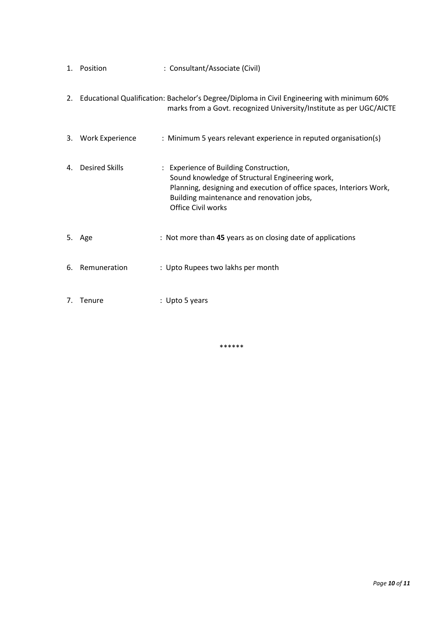|    | 1. Position           | : Consultant/Associate (Civil)                                                                                                                                                                                                             |
|----|-----------------------|--------------------------------------------------------------------------------------------------------------------------------------------------------------------------------------------------------------------------------------------|
|    |                       | 2. Educational Qualification: Bachelor's Degree/Diploma in Civil Engineering with minimum 60%<br>marks from a Govt. recognized University/Institute as per UGC/AICTE                                                                       |
|    | 3. Work Experience    | : Minimum 5 years relevant experience in reputed organisation(s)                                                                                                                                                                           |
| 4. | <b>Desired Skills</b> | : Experience of Building Construction,<br>Sound knowledge of Structural Engineering work,<br>Planning, designing and execution of office spaces, Interiors Work,<br>Building maintenance and renovation jobs,<br><b>Office Civil works</b> |
|    | 5. Age                | : Not more than 45 years as on closing date of applications                                                                                                                                                                                |
| 6. | Remuneration          | : Upto Rupees two lakhs per month                                                                                                                                                                                                          |
| 7. | Tenure                | : Upto 5 years                                                                                                                                                                                                                             |